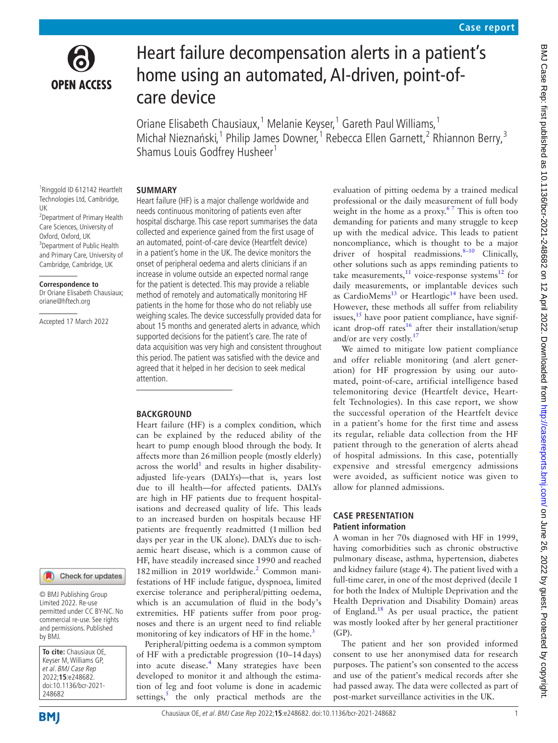

# Heart failure decompensation alerts in a patient's home using an automated, AI-driven, point-ofcare device

Oriane Elisabeth Chausiaux,<sup>1</sup> Melanie Keyser,<sup>1</sup> Gareth Paul Williams,<sup>1</sup> Michał Nieznański,<sup>1</sup> Philip James Downer,<sup>1</sup> Rebecca Ellen Garnett,<sup>2</sup> Rhiannon Berry,<sup>3</sup> Shamus Louis Godfrey Husheer<sup>1</sup>

### **SUMMARY**

1 Ringgold ID 612142 Heartfelt Technologies Ltd, Cambridge, UK <sup>2</sup> Department of Primary Health Care Sciences, University of Oxford, Oxford, UK <sup>3</sup>Department of Public Health and Primary Care, University of Cambridge, Cambridge, UK

#### **Correspondence to**

Dr Oriane Elisabeth Chausiaux; oriane@hftech.org

Accepted 17 March 2022

Heart failure (HF) is a major challenge worldwide and needs continuous monitoring of patients even after hospital discharge. This case report summarises the data collected and experience gained from the first usage of an automated, point-of-care device (Heartfelt device) in a patient's home in the UK. The device monitors the onset of peripheral oedema and alerts clinicians if an increase in volume outside an expected normal range for the patient is detected. This may provide a reliable method of remotely and automatically monitoring HF patients in the home for those who do not reliably use weighing scales. The device successfully provided data for about 15 months and generated alerts in advance, which supported decisions for the patient's care. The rate of data acquisition was very high and consistent throughout this period. The patient was satisfied with the device and agreed that it helped in her decision to seek medical attention.

# **BACKGROUND**

Heart failure (HF) is a complex condition, which can be explained by the reduced ability of the heart to pump enough blood through the body. It affects more than 26million people (mostly elderly) across the world<sup>[1](#page-3-0)</sup> and results in higher disabilityadjusted life-years (DALYs)—that is, years lost due to ill health—for affected patients. DALYs are high in HF patients due to frequent hospitalisations and decreased quality of life. This leads to an increased burden on hospitals because HF patients are frequently readmitted (1million bed days per year in the UK alone). DALYs due to ischaemic heart disease, which is a common cause of HF, have steadily increased since 1990 and reached 182 million in 2019 worldwide.<sup>2</sup> Common manifestations of HF include fatigue, dyspnoea, limited exercise tolerance and peripheral/pitting oedema, which is an accumulation of fluid in the body's extremities. HF patients suffer from poor prognoses and there is an urgent need to find reliable monitoring of key indicators of HF in the home. $3$ 

Peripheral/pitting oedema is a common symptom of HF with a predictable progression (10–14days) into acute disease.<sup>[4](#page-3-3)</sup> Many strategies have been developed to monitor it and although the estimation of leg and foot volume is done in academic settings, $\frac{s}{s}$  the only practical methods are the evaluation of pitting oedema by a trained medical professional or the daily measurement of full body weight in the home as a proxy. $67$  This is often too demanding for patients and many struggle to keep up with the medical advice. This leads to patient noncompliance, which is thought to be a major driver of hospital readmissions. $8-10$  Clinically, other solutions such as apps reminding patients to take measurements, $\frac{11}{11}$  voice-response systems<sup>[12](#page-3-8)</sup> for daily measurements, or implantable devices such as CardioMems<sup>13</sup> or Heartlogic<sup>14</sup> have been used. However, these methods all suffer from reliability issues, $15$  have poor patient compliance, have significant drop-off rates<sup>16</sup> after their installation/setup and/or are very costly.<sup>[17](#page-3-13)</sup>

We aimed to mitigate low patient compliance and offer reliable monitoring (and alert generation) for HF progression by using our automated, point-of-care, artificial intelligence based telemonitoring device (Heartfelt device, Heartfelt Technologies). In this case report, we show the successful operation of the Heartfelt device in a patient's home for the first time and assess its regular, reliable data collection from the HF patient through to the generation of alerts ahead of hospital admissions. In this case, potentially expensive and stressful emergency admissions were avoided, as sufficient notice was given to allow for planned admissions.

# **CASE PRESENTATION Patient information**

A woman in her 70s diagnosed with HF in 1999, having comorbidities such as chronic obstructive pulmonary disease, asthma, hypertension, diabetes and kidney failure (stage 4). The patient lived with a full-time carer, in one of the most deprived (decile 1 for both the Index of Multiple Deprivation and the Health Deprivation and Disability Domain) areas of England.[18](#page-3-14) As per usual practice, the patient was mostly looked after by her general practitioner (GP).

The patient and her son provided informed consent to use her anonymised data for research purposes. The patient's son consented to the access and use of the patient's medical records after she had passed away. The data were collected as part of post-market surveillance activities in the UK.

Check for updates © BMJ Publishing Group

Limited 2022. Re-use permitted under CC BY-NC. No commercial re-use. See rights and permissions. Published by BMJ.

**To cite:** Chausiaux OE, Keyser M, Williams GP, et al. BMJ Case Rep 2022;**15**:e248682. doi:10.1136/bcr-2021- 248682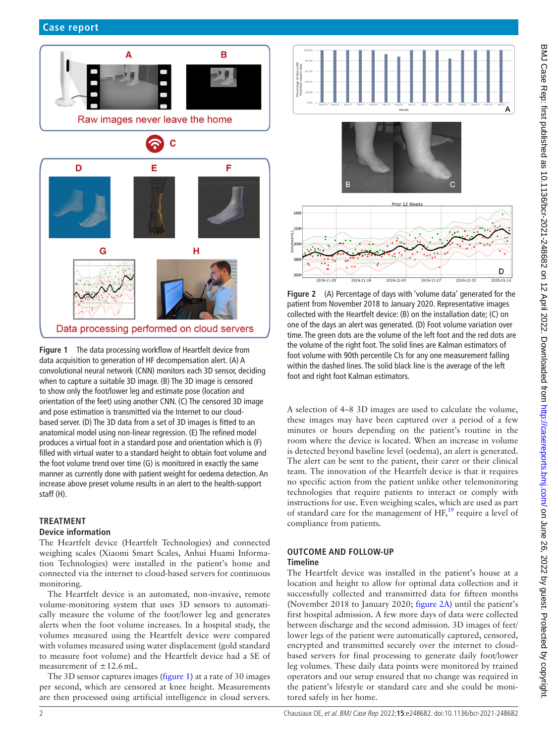

<span id="page-1-0"></span>**Figure 1** The data processing workflow of Heartfelt device from data acquisition to generation of HF decompensation alert. (A) A convolutional neural network (CNN) monitors each 3D sensor, deciding when to capture a suitable 3D image. (B) The 3D image is censored to show only the foot/lower leg and estimate pose (location and orientation of the feet) using another CNN. (C) The censored 3D image and pose estimation is transmitted via the Internet to our cloudbased server. (D) The 3D data from a set of 3D images is fitted to an anatomical model using non-linear regression. (E) The refined model produces a virtual foot in a standard pose and orientation which is (F) filled with virtual water to a standard height to obtain foot volume and the foot volume trend over time (G) is monitored in exactly the same manner as currently done with patient weight for oedema detection. An increase above preset volume results in an alert to the health-support staff (H).

# **TREATMENT**

# **Device information**

The Heartfelt device (Heartfelt Technologies) and connected weighing scales (Xiaomi Smart Scales, Anhui Huami Information Technologies) were installed in the patient's home and connected via the internet to cloud-based servers for continuous monitoring.

The Heartfelt device is an automated, non-invasive, remote volume-monitoring system that uses 3D sensors to automatically measure the volume of the foot/lower leg and generates alerts when the foot volume increases. In a hospital study, the volumes measured using the Heartfelt device were compared with volumes measured using water displacement (gold standard to measure foot volume) and the Heartfelt device had a SE of measurement of  $\pm$ 12.6 mL.

The 3D sensor captures images ([figure](#page-1-0) 1) at a rate of 30 images per second, which are censored at knee height. Measurements are then processed using artificial intelligence in cloud servers.



<span id="page-1-1"></span>**Figure 2** (A) Percentage of days with 'volume data' generated for the patient from November 2018 to January 2020. Representative images collected with the Heartfelt device: (B) on the installation date; (C) on one of the days an alert was generated. (D) Foot volume variation over time. The green dots are the volume of the left foot and the red dots are the volume of the right foot. The solid lines are Kalman estimators of foot volume with 90th percentile CIs for any one measurement falling within the dashed lines. The solid black line is the average of the left foot and right foot Kalman estimators.

A selection of 4–8 3D images are used to calculate the volume, these images may have been captured over a period of a few minutes or hours depending on the patient's routine in the room where the device is located. When an increase in volume is detected beyond baseline level (oedema), an alert is generated. The alert can be sent to the patient, their carer or their clinical team. The innovation of the Heartfelt device is that it requires no specific action from the patient unlike other telemonitoring technologies that require patients to interact or comply with instructions for use. Even weighing scales, which are used as part of standard care for the management of  $HF<sup>19</sup>$  require a level of compliance from patients.

#### **OUTCOME AND FOLLOW-UP Timeline**

The Heartfelt device was installed in the patient's house at a location and height to allow for optimal data collection and it successfully collected and transmitted data for fifteen months (November 2018 to January 2020; [figure](#page-1-1) 2A) until the patient's first hospital admission. A few more days of data were collected between discharge and the second admission. 3D images of feet/ lower legs of the patient were automatically captured, censored, encrypted and transmitted securely over the internet to cloudbased servers for final processing to generate daily foot/lower leg volumes. These daily data points were monitored by trained operators and our setup ensured that no change was required in the patient's lifestyle or standard care and she could be monitored safely in her home.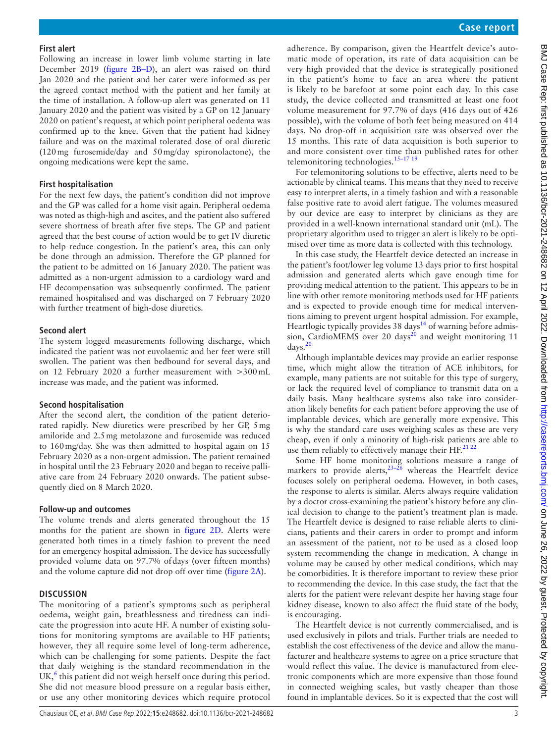#### **First alert**

Following an increase in lower limb volume starting in late December 2019 [\(figure](#page-1-1) 2B–D), an alert was raised on third Jan 2020 and the patient and her carer were informed as per the agreed contact method with the patient and her family at the time of installation. A follow-up alert was generated on 11 January 2020 and the patient was visited by a GP on 12 January 2020 on patient's request, at which point peripheral oedema was confirmed up to the knee. Given that the patient had kidney failure and was on the maximal tolerated dose of oral diuretic (120mg furosemide/day and 50mg/day spironolactone), the ongoing medications were kept the same.

#### **First hospitalisation**

For the next few days, the patient's condition did not improve and the GP was called for a home visit again. Peripheral oedema was noted as thigh-high and ascites, and the patient also suffered severe shortness of breath after five steps. The GP and patient agreed that the best course of action would be to get IV diuretic to help reduce congestion. In the patient's area, this can only be done through an admission. Therefore the GP planned for the patient to be admitted on 16 January 2020. The patient was admitted as a non-urgent admission to a cardiology ward and HF decompensation was subsequently confirmed. The patient remained hospitalised and was discharged on 7 February 2020 with further treatment of high-dose diuretics.

#### **Second alert**

The system logged measurements following discharge, which indicated the patient was not euvolaemic and her feet were still swollen. The patient was then bedbound for several days, and on 12 February 2020 a further measurement with >300mL increase was made, and the patient was informed.

#### **Second hospitalisation**

After the second alert, the condition of the patient deteriorated rapidly. New diuretics were prescribed by her GP, 5mg amiloride and 2.5mg metolazone and furosemide was reduced to 160mg/day. She was then admitted to hospital again on 15 February 2020 as a non-urgent admission. The patient remained in hospital until the 23 February 2020 and began to receive palliative care from 24 February 2020 onwards. The patient subsequently died on 8 March 2020.

#### **Follow-up and outcomes**

The volume trends and alerts generated throughout the 15 months for the patient are shown in [figure](#page-1-1) 2D. Alerts were generated both times in a timely fashion to prevent the need for an emergency hospital admission. The device has successfully provided volume data on 97.7% of days (over fifteen months) and the volume capture did not drop off over time ([figure](#page-1-1) 2A).

#### **DISCUSSION**

The monitoring of a patient's symptoms such as peripheral oedema, weight gain, breathlessness and tiredness can indicate the progression into acute HF. A number of existing solutions for monitoring symptoms are available to HF patients; however, they all require some level of long-term adherence, which can be challenging for some patients. Despite the fact that daily weighing is the standard recommendation in the UK, $<sup>6</sup>$  $<sup>6</sup>$  $<sup>6</sup>$  this patient did not weigh herself once during this period.</sup> She did not measure blood pressure on a regular basis either, or use any other monitoring devices which require protocol

adherence. By comparison, given the Heartfelt device's automatic mode of operation, its rate of data acquisition can be very high provided that the device is strategically positioned in the patient's home to face an area where the patient is likely to be barefoot at some point each day. In this case study, the device collected and transmitted at least one foot volume measurement for 97.7% of days (416 days out of 426 possible), with the volume of both feet being measured on 414 days. No drop-off in acquisition rate was observed over the 15 months. This rate of data acquisition is both superior to and more consistent over time than published rates for other telemonitoring technologies. $15-17$  19

For telemonitoring solutions to be effective, alerts need to be actionable by clinical teams. This means that they need to receive easy to interpret alerts, in a timely fashion and with a reasonable false positive rate to avoid alert fatigue. The volumes measured by our device are easy to interpret by clinicians as they are provided in a well-known international standard unit (mL). The proprietary algorithm used to trigger an alert is likely to be optimised over time as more data is collected with this technology.

In this case study, the Heartfelt device detected an increase in the patient's foot/lower leg volume 13 days prior to first hospital admission and generated alerts which gave enough time for providing medical attention to the patient. This appears to be in line with other remote monitoring methods used for HF patients and is expected to provide enough time for medical interventions aiming to prevent urgent hospital admission. For example, Heartlogic typically provides  $38 \text{ days}^{14}$  $38 \text{ days}^{14}$  $38 \text{ days}^{14}$  of warning before admis-sion, CardioMEMS over [20](#page-3-16) days $^{20}$  and weight monitoring 11 days[.20](#page-3-16)

Although implantable devices may provide an earlier response time, which might allow the titration of ACE inhibitors, for example, many patients are not suitable for this type of surgery, or lack the required level of compliance to transmit data on a daily basis. Many healthcare systems also take into consideration likely benefits for each patient before approving the use of implantable devices, which are generally more expensive. This is why the standard care uses weighing scales as these are very cheap, even if only a minority of high-risk patients are able to use them reliably to effectively manage their HF.<sup>[21 22](#page-3-17)</sup>

Some HF home monitoring solutions measure a range of markers to provide alerts,  $23-26$  whereas the Heartfelt device focuses solely on peripheral oedema. However, in both cases, the response to alerts is similar. Alerts always require validation by a doctor cross-examining the patient's history before any clinical decision to change to the patient's treatment plan is made. The Heartfelt device is designed to raise reliable alerts to clinicians, patients and their carers in order to prompt and inform an assessment of the patient, not to be used as a closed loop system recommending the change in medication. A change in volume may be caused by other medical conditions, which may be comorbidities. It is therefore important to review these prior to recommending the device. In this case study, the fact that the alerts for the patient were relevant despite her having stage four kidney disease, known to also affect the fluid state of the body, is encouraging.

The Heartfelt device is not currently commercialised, and is used exclusively in pilots and trials. Further trials are needed to establish the cost effectiveness of the device and allow the manufacturer and healthcare systems to agree on a price structure that would reflect this value. The device is manufactured from electronic components which are more expensive than those found in connected weighing scales, but vastly cheaper than those found in implantable devices. So it is expected that the cost will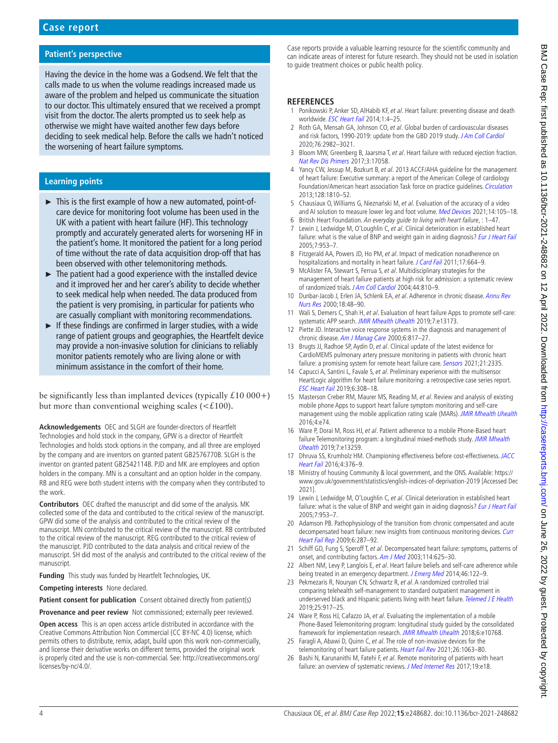# **Patient's perspective**

Having the device in the home was a Godsend. We felt that the calls made to us when the volume readings increased made us aware of the problem and helped us communicate the situation to our doctor. This ultimately ensured that we received a prompt visit from the doctor. The alerts prompted us to seek help as otherwise we might have waited another few days before deciding to seek medical help. Before the calls we hadn't noticed the worsening of heart failure symptoms.

## **Learning points**

- ► This is the first example of how a new automated, point-ofcare device for monitoring foot volume has been used in the UK with a patient with heart failure (HF). This technology promptly and accurately generated alerts for worsening HF in the patient's home. It monitored the patient for a long period of time without the rate of data acquisition drop-off that has been observed with other telemonitoring methods.
- ► The patient had a good experience with the installed device and it improved her and her carer's ability to decide whether to seek medical help when needed. The data produced from the patient is very promising, in particular for patients who are casually compliant with monitoring recommendations.
- ► If these findings are confirmed in larger studies, with a wide range of patient groups and geographies, the Heartfelt device may provide a non-invasive solution for clinicians to reliably monitor patients remotely who are living alone or with minimum assistance in the comfort of their home.

be significantly less than implanted devices (typically  $£10000+)$ but more than conventional weighing scales  $( $\xi$ 100)$ .

**Acknowledgements** OEC and SLGH are founder-directors of Heartfelt Technologies and hold stock in the company, GPW is a director of Heartfelt Technologies and holds stock options in the company, and all three are employed by the company and are inventors on granted patent GB2576770B. SLGH is the inventor on granted patent GB2542114B. PJD and MK are employees and option holders in the company. MN is a consultant and an option holder in the company. RB and REG were both student interns with the company when they contributed to the work.

**Contributors** OEC drafted the manuscript and did some of the analysis. MK collected some of the data and contributed to the critical review of the manuscript. GPW did some of the analysis and contributed to the critical review of the manuscript. MN contributed to the critical review of the manuscript. RB contributed to the critical review of the manuscript. REG contributed to the critical review of the manuscript. PJD contributed to the data analysis and critical review of the manuscript. SH did most of the analysis and contributed to the critical review of the manuscript.

**Funding** This study was funded by Heartfelt Technologies, UK.

**Competing interests** None declared.

Patient consent for publication Consent obtained directly from patient(s)

**Provenance and peer review** Not commissioned; externally peer reviewed.

**Open access** This is an open access article distributed in accordance with the Creative Commons Attribution Non Commercial (CC BY-NC 4.0) license, which permits others to distribute, remix, adapt, build upon this work non-commercially, and license their derivative works on different terms, provided the original work is properly cited and the use is non-commercial. See: [http://creativecommons.org/](http://creativecommons.org/licenses/by-nc/4.0/) [licenses/by-nc/4.0/.](http://creativecommons.org/licenses/by-nc/4.0/)

Case reports provide a valuable learning resource for the scientific community and can indicate areas of interest for future research. They should not be used in isolation to guide treatment choices or public health policy.

#### **REFERENCES**

- <span id="page-3-0"></span>1 Ponikowski P, Anker SD, AlHabib KF, et al. Heart failure: preventing disease and death worldwide. **[ESC Heart Fail](http://dx.doi.org/10.1002/ehf2.12005) 2014**;1:4-25.
- <span id="page-3-1"></span>2 Roth GA, Mensah GA, Johnson CO, et al. Global burden of cardiovascular diseases and risk factors, 1990-2019: update from the GBD 2019 study. [J Am Coll Cardiol](http://dx.doi.org/10.1016/j.jacc.2020.11.010) 2020;76:2982–3021.
- <span id="page-3-2"></span>3 Bloom MW, Greenberg B, Jaarsma T, et al. Heart failure with reduced ejection fraction. [Nat Rev Dis Primers](http://dx.doi.org/10.1038/nrdp.2017.58) 2017;3:17058.
- <span id="page-3-3"></span>4 Yancy CW, Jessup M, Bozkurt B, et al. 2013 ACCF/AHA guideline for the management of heart failure: Executive summary: a report of the American College of cardiology Foundation/American heart association Task force on practice guidelines. [Circulation](http://dx.doi.org/10.1161/CIR.0b013e31829e8807) 2013;128:1810–52.
- <span id="page-3-4"></span>Chausiaux O, Williams G, Nieznański M, et al. Evaluation of the accuracy of a video and AI solution to measure lower leg and foot volume. [Med Devices](http://dx.doi.org/10.2147/MDER.S297713) 2021;14:105-18.
- <span id="page-3-5"></span>6 British Heart Foundation. An everyday guide to living with heart failure, : 1–47.
- 7 Lewin J, Ledwidge M, O'Loughlin C, et al. Clinical deterioration in established heart failure: what is the value of BNP and weight gain in aiding diagnosis? [Eur J Heart Fail](http://dx.doi.org/10.1016/j.ejheart.2005.06.003) 2005;7:953–7.
- <span id="page-3-6"></span>8 Fitzgerald AA, Powers JD, Ho PM, et al. Impact of medication nonadherence on hospitalizations and mortality in heart failure. [J Card Fail](http://dx.doi.org/10.1016/j.cardfail.2011.04.011) 2011;17:664-9.
- 9 McAlister FA, Stewart S, Ferrua S, et al. Multidisciplinary strategies for the management of heart failure patients at high risk for admission: a systematic review of randomized trials. [J Am Coll Cardiol](http://dx.doi.org/10.1016/j.jacc.2004.05.055) 2004;44:810-9.
- 10 Dunbar-Jacob J, Erlen JA, Schlenk EA, et al. Adherence in chronic disease. Annu Rev [Nurs Res](http://dx.doi.org/10.1891/0739-6686.18.1.48) 2000;18:48–90.
- <span id="page-3-7"></span>11 Wali S, Demers C, Shah H, et al. Evaluation of heart failure Apps to promote self-care: systematic APP search. [JMIR Mhealth Uhealth](http://dx.doi.org/10.2196/13173) 2019;7:e13173.
- <span id="page-3-8"></span>12 Piette JD. Interactive voice response systems in the diagnosis and management of chronic disease. [Am J Manag Care](http://www.ncbi.nlm.nih.gov/pubmed/11067378) 2000;6:817-27.
- <span id="page-3-9"></span>13 Brugts JJ, Radhoe SP, Aydin D, et al. Clinical update of the latest evidence for CardioMEMS pulmonary artery pressure monitoring in patients with chronic heart failure: a promising system for remote heart failure care. [Sensors](http://dx.doi.org/10.3390/s21072335) 2021;21:2335.
- <span id="page-3-10"></span>14 Capucci A, Santini L, Favale S, et al. Preliminary experience with the multisensor HeartLogic algorithm for heart failure monitoring: a retrospective case series report. [ESC Heart Fail](http://dx.doi.org/10.1002/ehf2.12394) 2019;6:308–18.
- <span id="page-3-11"></span>15 Masterson Creber RM, Maurer MS, Reading M, et al. Review and analysis of existing mobile phone Apps to support heart failure symptom monitoring and self-care management using the mobile application rating scale (MARs). [JMIR Mhealth Uhealth](http://dx.doi.org/10.2196/mhealth.5882) 2016;4:e74.
- <span id="page-3-12"></span>16 Ware P, Dorai M, Ross HJ, et al. Patient adherence to a mobile Phone-Based heart failure Telemonitoring program: a longitudinal mixed-methods study. JMIR Mhealth [Uhealth](http://dx.doi.org/10.2196/13259) 2019;7:e13259.
- <span id="page-3-13"></span>17 Dhruva SS, Krumholz HM. Championing effectiveness before cost-effectiveness. JACC [Heart Fail](http://dx.doi.org/10.1016/j.jchf.2016.02.001) 2016;4:376–9.
- <span id="page-3-14"></span>18 Ministry of housing Community & local government, and the ONS. Available: [https://](https://www.gov.uk/government/statistics/english-indices-of-deprivation-2019) [www.gov.uk/government/statistics/english-indices-of-deprivation-2019](https://www.gov.uk/government/statistics/english-indices-of-deprivation-2019) [Accessed Dec 2021].
- <span id="page-3-15"></span>19 Lewin J, Ledwidge M, O'Loughlin C, et al. Clinical deterioration in established heart failure: what is the value of BNP and weight gain in aiding diagnosis? [Eur J Heart Fail](http://dx.doi.org/10.1016/j.ejheart.2005.06.003) 2005;7:953–7.
- <span id="page-3-16"></span>20 Adamson PB. Pathophysiology of the transition from chronic compensated and acute decompensated heart failure: new insights from continuous monitoring devices. Curr [Heart Fail Rep](http://dx.doi.org/10.1007/s11897-009-0039-z) 2009;6:287–92.
- <span id="page-3-17"></span>21 Schiff GD, Fung S, Speroff T, et al. Decompensated heart failure: symptoms, patterns of onset, and contributing factors. [Am J Med](http://dx.doi.org/10.1016/S0002-9343(03)00132-3) 2003;114:625–30.
- 22 Albert NM, Levy P, Langlois E, et al. Heart failure beliefs and self-care adherence while being treated in an emergency department. [J Emerg Med](http://dx.doi.org/10.1016/j.jemermed.2013.04.060) 2014;46:122-9.
- <span id="page-3-18"></span>23 Pekmezaris R, Nouryan CN, Schwartz R, et al. A randomized controlled trial comparing telehealth self-management to standard outpatient management in underserved black and Hispanic patients living with heart failure. [Telemed J E Health](http://dx.doi.org/10.1089/tmj.2018.0219) 2019;25:917–25.
- 24 Ware P, Ross HJ, Cafazzo JA, et al. Evaluating the implementation of a mobile Phone-Based Telemonitoring program: longitudinal study guided by the consolidated framework for implementation research. [JMIR Mhealth Uhealth](http://dx.doi.org/10.2196/10768) 2018;6:e10768.
- 25 Faragli A, Abawi D, Quinn C, et al. The role of non-invasive devices for the telemonitoring of heart failure patients. [Heart Fail Rev](http://dx.doi.org/10.1007/s10741-020-09963-7) 2021;26:1063-80.
- 26 Bashi N, Karunanithi M, Fatehi F, et al. Remote monitoring of patients with heart failure: an overview of systematic reviews. [J Med Internet Res](http://dx.doi.org/10.2196/jmir.6571) 2017;19:e18.